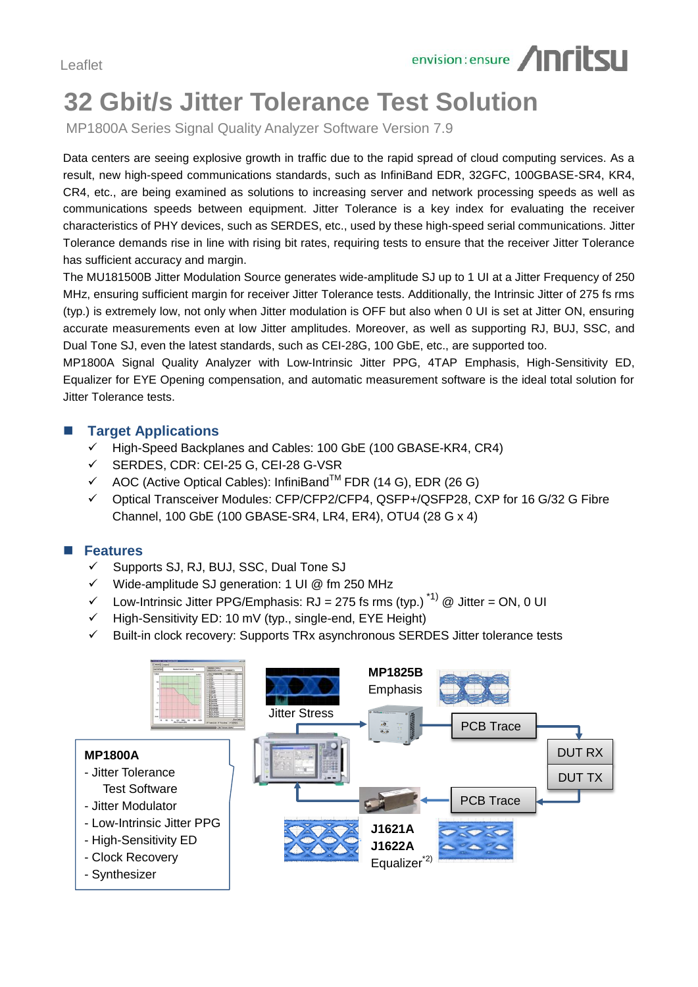

# **32 Gbit/s Jitter Tolerance Test Solution**

MP1800A Series Signal Quality Analyzer Software Version 7.9

Data centers are seeing explosive growth in traffic due to the rapid spread of cloud computing services. As a result, new high-speed communications standards, such as InfiniBand EDR, 32GFC, 100GBASE-SR4, KR4, CR4, etc., are being examined as solutions to increasing server and network processing speeds as well as communications speeds between equipment. Jitter Tolerance is a key index for evaluating the receiver characteristics of PHY devices, such as SERDES, etc., used by these high-speed serial communications. Jitter Tolerance demands rise in line with rising bit rates, requiring tests to ensure that the receiver Jitter Tolerance has sufficient accuracy and margin.

The MU181500B Jitter Modulation Source generates wide-amplitude SJ up to 1 UI at a Jitter Frequency of 250 MHz, ensuring sufficient margin for receiver Jitter Tolerance tests. Additionally, the Intrinsic Jitter of 275 fs rms (typ.) is extremely low, not only when Jitter modulation is OFF but also when 0 UI is set at Jitter ON, ensuring accurate measurements even at low Jitter amplitudes. Moreover, as well as supporting RJ, BUJ, SSC, and Dual Tone SJ, even the latest standards, such as CEI-28G, 100 GbE, etc., are supported too.

MP1800A Signal Quality Analyzer with Low-Intrinsic Jitter PPG, 4TAP Emphasis, High-Sensitivity ED, Equalizer for EYE Opening compensation, and automatic measurement software is the ideal total solution for Jitter Tolerance tests.

#### **Target Applications**

- High-Speed Backplanes and Cables: 100 GbE (100 GBASE-KR4, CR4)
- SERDES, CDR: CEI-25 G, CEI-28 G-VSR
- $\checkmark$  AOC (Active Optical Cables): InfiniBand<sup>TM</sup> FDR (14 G), EDR (26 G)
- Optical Transceiver Modules: CFP/CFP2/CFP4, QSFP+/QSFP28, CXP for 16 G/32 G Fibre Channel, 100 GbE (100 GBASE-SR4, LR4, ER4), OTU4 (28 G x 4)

### **Features**

- $\checkmark$  Supports SJ, RJ, BUJ, SSC, Dual Tone SJ
- $\checkmark$  Wide-amplitude SJ generation: 1 UI @ fm 250 MHz
- $\checkmark$  Low-Intrinsic Jitter PPG/Emphasis: RJ = 275 fs rms (typ.)<sup>\*1)</sup> @ Jitter = ON, 0 UI
- High-Sensitivity ED: 10 mV (typ., single-end, EYE Height)
- Built-in clock recovery: Supports TRx asynchronous SERDES Jitter tolerance tests